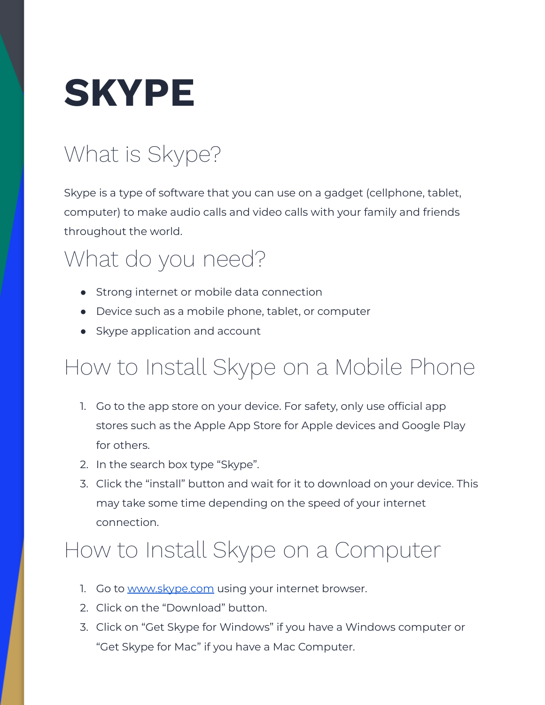# **SKYPE**

# What is Skype?

Skype is a type of software that you can use on a gadget (cellphone, tablet, computer) to make audio calls and video calls with your family and friends throughout the world.

#### What do you need?

- Strong internet or mobile data connection
- Device such as a mobile phone, tablet, or computer
- Skype application and account

## How to Install Skype on a Mobile Phone

- 1. Go to the app store on your device. For safety, only use official app stores such as the Apple App Store for Apple devices and Google Play for others.
- 2. In the search box type "Skype".
- 3. Click the "install" button and wait for it to download on your device. This may take some time depending on the speed of your internet connection.

### How to Install Skype on a Computer

- 1. Go to [www.skype.com](http://www.skype.com) using your internet browser.
- 2. Click on the "Download" button.
- 3. Click on "Get Skype for Windows" if you have a Windows computer or "Get Skype for Mac" if you have a Mac Computer.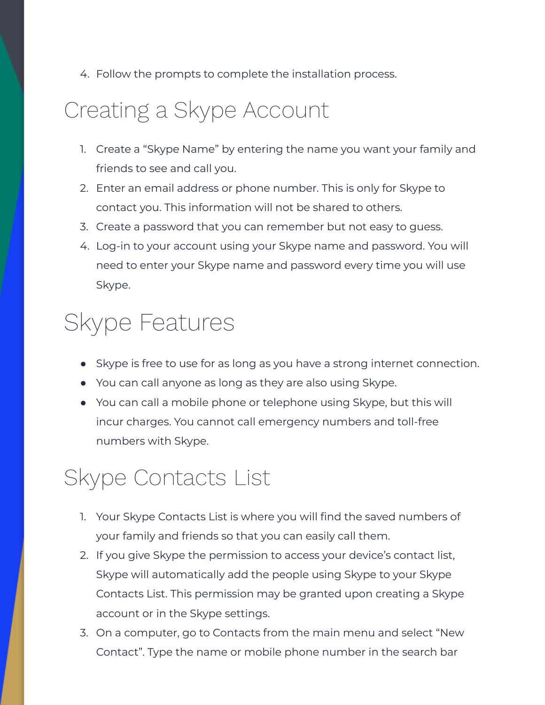4. Follow the prompts to complete the installation process.

#### Creating a Skype Account

- 1. Create a "Skype Name" by entering the name you want your family and friends to see and call you.
- 2. Enter an email address or phone number. This is only for Skype to contact you. This information will not be shared to others.
- 3. Create a password that you can remember but not easy to guess.
- 4. Log-in to your account using your Skype name and password. You will need to enter your Skype name and password every time you will use Skype.

#### Skype Features

- Skype is free to use for as long as you have a strong internet connection.
- You can call anyone as long as they are also using Skype.
- You can call a mobile phone or telephone using Skype, but this will incur charges. You cannot call emergency numbers and toll-free numbers with Skype.

#### Skype Contacts List

- 1. Your Skype Contacts List is where you will find the saved numbers of your family and friends so that you can easily call them.
- 2. If you give Skype the permission to access your device's contact list, Skype will automatically add the people using Skype to your Skype Contacts List. This permission may be granted upon creating a Skype account or in the Skype settings.
- 3. On a computer, go to Contacts from the main menu and select "New Contact". Type the name or mobile phone number in the search bar